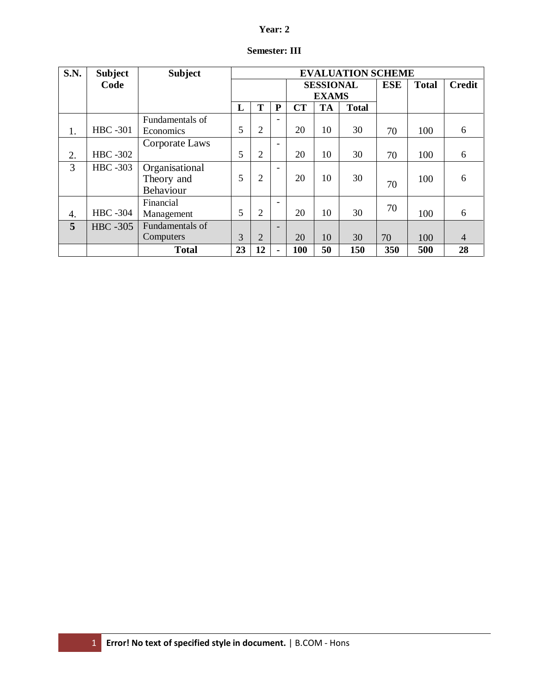# **Year: 2**

| S.N. | <b>Subject</b>  | <b>Subject</b>  | <b>EVALUATION SCHEME</b> |                |                          |              |            |              |               |     |    |
|------|-----------------|-----------------|--------------------------|----------------|--------------------------|--------------|------------|--------------|---------------|-----|----|
|      | Code            |                 |                          |                | <b>SESSIONAL</b>         |              | <b>ESE</b> | <b>Total</b> | <b>Credit</b> |     |    |
|      |                 |                 |                          |                |                          | <b>EXAMS</b> |            |              |               |     |    |
|      |                 |                 | L                        | T              | ${\bf P}$                | <b>CT</b>    | <b>TA</b>  | <b>Total</b> |               |     |    |
|      |                 | Fundamentals of |                          |                |                          |              |            |              |               |     |    |
| 1.   | <b>HBC</b> -301 | Economics       | 5                        | $\overline{2}$ |                          | 20           | 10         | 30           | 70            | 100 | 6  |
|      |                 | Corporate Laws  |                          |                | $\blacksquare$           |              |            |              |               |     |    |
| 2.   | <b>HBC-302</b>  |                 | 5                        | $\overline{2}$ |                          | 20           | 10         | 30           | 70            | 100 | 6  |
| 3    | <b>HBC</b> -303 | Organisational  |                          |                | -                        |              |            |              |               |     |    |
|      |                 | Theory and      | 5                        | $\overline{2}$ |                          | 20           | 10         | 30           | 70            | 100 | 6  |
|      |                 | Behaviour       |                          |                |                          |              |            |              |               |     |    |
|      |                 | Financial       |                          |                | $\overline{\phantom{0}}$ |              |            |              | 70            |     |    |
| 4.   | <b>HBC</b> -304 | Management      | 5                        | $\overline{2}$ |                          | 20           | 10         | 30           |               | 100 | 6  |
| 5    | <b>HBC</b> -305 | Fundamentals of |                          |                | ۰                        |              |            |              |               |     |    |
|      |                 | Computers       | 3                        | $\overline{2}$ |                          | 20           | 10         | 30           | 70            | 100 | 4  |
|      |                 | <b>Total</b>    | 23                       | 12             |                          | 100          | 50         | 150          | 350           | 500 | 28 |

# **Semester: III**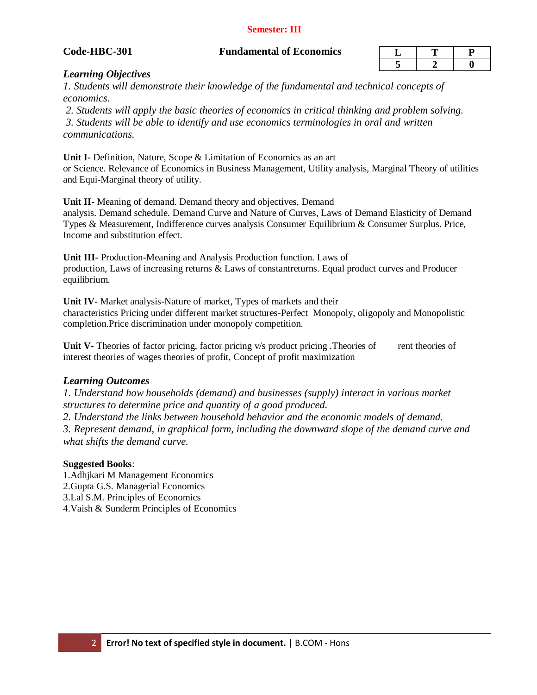#### **Semester: III**

| de-HBC-301 |  |
|------------|--|

#### **Code-HBC-301 Fundamental of Economics**

## *Learning Objectives*

*1. Students will demonstrate their knowledge of the fundamental and technical concepts of economics.*

*2. Students will apply the basic theories of economics in critical thinking and problem solving. 3. Students will be able to identify and use economics terminologies in oral and written communications.*

**Unit I-** Definition, Nature, Scope & Limitation of Economics as an art or Science. Relevance of Economics in Business Management, Utility analysis, Marginal Theory of utilities and Equi-Marginal theory of utility.

**Unit II-** Meaning of demand. Demand theory and objectives, Demand analysis. Demand schedule. Demand Curve and Nature of Curves, Laws of Demand Elasticity of Demand Types & Measurement, Indifference curves analysis Consumer Equilibrium & Consumer Surplus. Price, Income and substitution effect.

**Unit III-** Production-Meaning and Analysis Production function. Laws of production, Laws of increasing returns & Laws of constantreturns. Equal product curves and Producer equilibrium.

**Unit IV-** Market analysis-Nature of market, Types of markets and their characteristics Pricing under different market structures-Perfect Monopoly, oligopoly and Monopolistic completion.Price discrimination under monopoly competition.

**Unit V-** Theories of factor pricing, factor pricing v/s product pricing .Theories of rent theories of interest theories of wages theories of profit, Concept of profit maximization

## *Learning Outcomes*

*1. Understand how households (demand) and businesses (supply) interact in various market structures to determine price and quantity of a good produced.* 

*2. Understand the links between household behavior and the economic models of demand.* 

*3. Represent demand, in graphical form, including the downward slope of the demand curve and what shifts the demand curve.*

#### **Suggested Books**:

1.Adhjkari M Management Economics 2.Gupta G.S. Managerial Economics 3.Lal S.M. Principles of Economics 4.Vaish & Sunderm Principles of Economics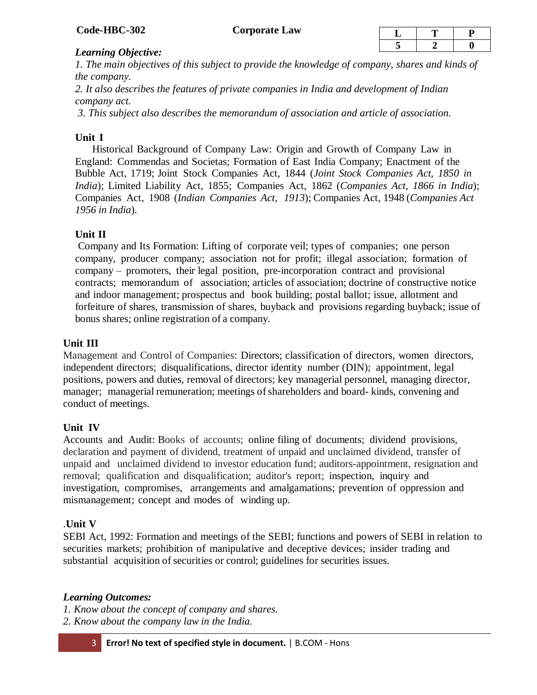## *Learning Objective:*

*1. The main objectives of this subject to provide the knowledge of company, shares and kinds of the company.* 

*2. It also describes the features of private companies in India and development of Indian company act.*

*3. This subject also describes the memorandum of association and article of association.*

# **Unit I**

 Historical Background of Company Law: Origin and Growth of Company Law in England: Commendas and Societas; Formation of East India Company; Enactment of the Bubble Act, 1719; Joint Stock Companies Act, 1844 (*Joint Stock Companies Act, 1850 in India*); Limited Liability Act, 1855; Companies Act, 1862 (*Companies Act, 1866 in India*); Companies Act, 1908 (*Indian Companies Act, 1913*); Companies Act, 1948 (*Companies Act 1956 in India*).

# **Unit II**

Company and Its Formation: Lifting of corporate veil; types of companies; one person company, producer company; association not for profit; illegal association; formation of company – promoters, their legal position, pre-incorporation contract and provisional contracts; memorandum of association; articles of association; doctrine of constructive notice and indoor management; prospectus and book building; postal ballot; issue, allotment and forfeiture of shares, transmission of shares, buyback and provisions regarding buyback; issue of bonus shares; online registration of a company.

# **Unit III**

Management and Control of Companies: Directors; classification of directors, women directors, independent directors; disqualifications, director identity number (DIN); appointment, legal positions, powers and duties, removal of directors; key managerial personnel, managing director, manager; managerial remuneration; meetings of shareholders and board- kinds, convening and conduct of meetings.

# **Unit IV**

Accounts and Audit: Books of accounts; online filing of documents; dividend provisions, declaration and payment of dividend, treatment of unpaid and unclaimed dividend, transfer of unpaid and unclaimed dividend to investor education fund; auditors-appointment, resignation and removal; qualification and disqualification; auditor's report; inspection, inquiry and investigation, compromises, arrangements and amalgamations; prevention of oppression and mismanagement; concept and modes of winding up.

# .**Unit V**

SEBI Act, 1992: Formation and meetings of the SEBI; functions and powers of SEBI in relation to securities markets; prohibition of manipulative and deceptive devices; insider trading and substantial acquisition of securities or control; guidelines for securities issues.

# *Learning Outcomes:*

*1. Know about the concept of company and shares.* 

*2. Know about the company law in the India.*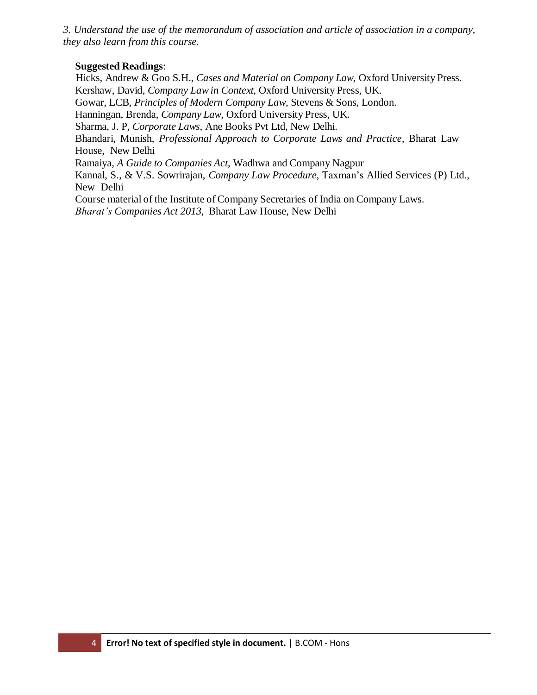*3. Understand the use of the memorandum of association and article of association in a company, they also learn from this course.*

# **Suggested Readings**:

 Hicks, Andrew & Goo S.H., *Cases and Material on Company Law,* Oxford University Press. Kershaw, David, *Company Lawin Context*, Oxford University Press, UK. Gowar, LCB, *Principles of Modern Company Law*, Stevens & Sons, London. Hanningan, Brenda, *Company Law,* Oxford University Press, UK. Sharma, J. P, *Corporate Laws*, Ane Books Pvt Ltd, New Delhi. Bhandari, Munish, *Professional Approach to Corporate Laws and Practice*, Bharat Law House, New Delhi Ramaiya, *A Guide to Companies Act*, Wadhwa and Company Nagpur Kannal, S., & V.S. Sowrirajan, *Company Law Procedure*, Taxman's Allied Services (P) Ltd., New Delhi Course material of the Institute of Company Secretaries of India on Company Laws. *Bharat's Companies Act 2013*, Bharat Law House, New Delhi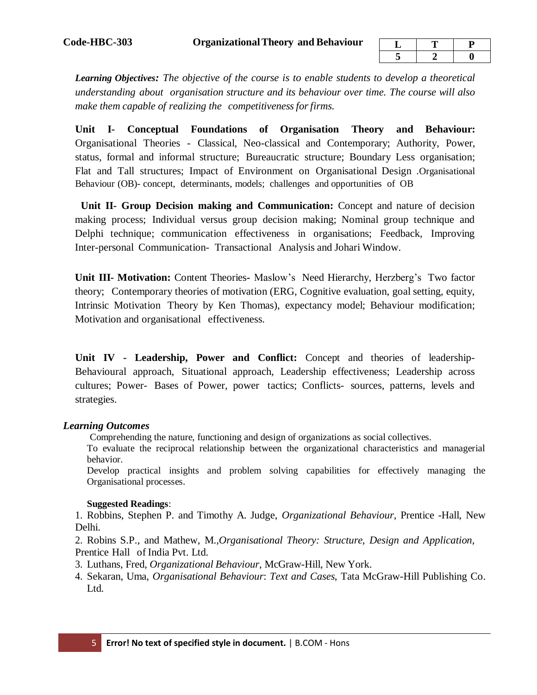*Learning Objectives: The objective of the course is to enable students to develop a theoretical understanding about organisation structure and its behaviour over time. The course will also make them capable of realizing the competitivenessforfirms.*

**Unit I- Conceptual Foundations of Organisation Theory and Behaviour:** Organisational Theories - Classical, Neo-classical and Contemporary; Authority, Power, status, formal and informal structure; Bureaucratic structure; Boundary Less organisation; Flat and Tall structures; Impact of Environment on Organisational Design .Organisational Behaviour (OB)- concept, determinants, models; challenges and opportunities of OB

 **Unit II- Group Decision making and Communication:** Concept and nature of decision making process; Individual versus group decision making; Nominal group technique and Delphi technique; communication effectiveness in organisations; Feedback, Improving Inter-personal Communication- Transactional Analysis and Johari Window.

**Unit III- Motivation:** Content Theories**-** Maslow's Need Hierarchy, Herzberg's Two factor theory; Contemporary theories of motivation (ERG, Cognitive evaluation, goal setting, equity, Intrinsic Motivation Theory by Ken Thomas), expectancy model; Behaviour modification; Motivation and organisational effectiveness.

**Unit IV - Leadership, Power and Conflict:** Concept and theories of leadership-Behavioural approach, Situational approach, Leadership effectiveness; Leadership across cultures; Power- Bases of Power, power tactics; Conflicts- sources, patterns, levels and strategies.

#### *Learning Outcomes*

Comprehending the nature, functioning and design of organizations as social collectives.

To evaluate the reciprocal relationship between the organizational characteristics and managerial behavior.

Develop practical insights and problem solving capabilities for effectively managing the Organisational processes.

## **Suggested Readings**:

1. Robbins, Stephen P. and Timothy A. Judge, *Organizational Behaviour*, Prentice -Hall, New Delhi.

2. Robins S.P., and Mathew, M.,*Organisational Theory: Structure, Design and Application*, Prentice Hall of India Pvt. Ltd.

- 3. Luthans, Fred, *Organizational Behaviour*, McGraw-Hill, New York.
- 4. Sekaran, Uma, *Organisational Behaviour*: *Text and Cases*, Tata McGraw-Hill Publishing Co. Ltd.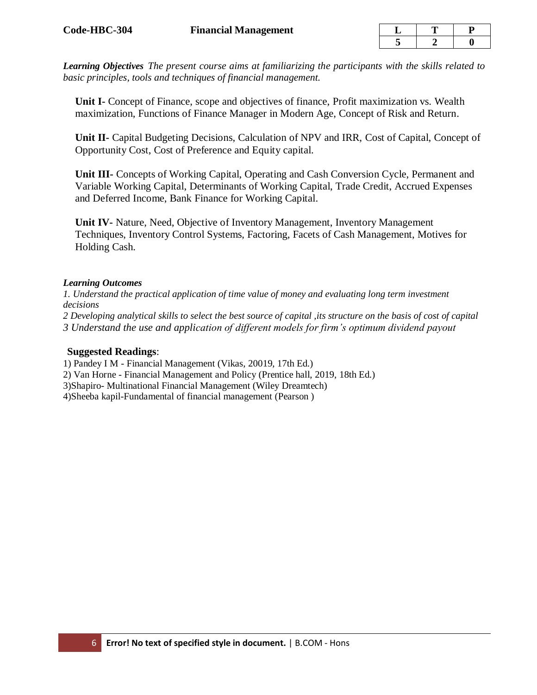*Learning Objectives The present course aims at familiarizing the participants with the skills related to basic principles, tools and techniques of financial management.*

**Unit I-** Concept of Finance, scope and objectives of finance, Profit maximization vs. Wealth maximization, Functions of Finance Manager in Modern Age, Concept of Risk and Return.

**Unit II-** Capital Budgeting Decisions, Calculation of NPV and IRR, Cost of Capital, Concept of Opportunity Cost, Cost of Preference and Equity capital.

**Unit III-** Concepts of Working Capital, Operating and Cash Conversion Cycle, Permanent and Variable Working Capital, Determinants of Working Capital, Trade Credit, Accrued Expenses and Deferred Income, Bank Finance for Working Capital.

**Unit IV-** Nature, Need, Objective of Inventory Management, Inventory Management Techniques, Inventory Control Systems, Factoring, Facets of Cash Management, Motives for Holding Cash.

#### *Learning Outcomes*

*1. Understand the practical application of time value of money and evaluating long term investment decisions* 

*2 Developing analytical skills to select the best source of capital ,its structure on the basis of cost of capital 3 Understand the use and application of different models for firm's optimum dividend payout*

#### **Suggested Readings**:

1) Pandey I M - Financial Management (Vikas, 20019, 17th Ed.)

2) Van Horne - Financial Management and Policy (Prentice hall, 2019, 18th Ed.)

3)Shapiro- Multinational Financial Management (Wiley Dreamtech)

4)Sheeba kapil-Fundamental of financial management (Pearson )